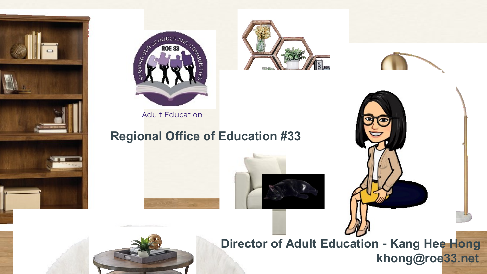



Adult Education

### **Reg[ional Office of](https://www.canva.com/design/DAEMGBZ3D4I/thl7D48L-xK3DRyxpfT4zQ/view?utm_content=DAEMGBZ3D4I&utm_campaign=designshare&utm_medium=link&utm_source=sharebutton) Education #33**











**Director of Adult Education - Kang Hee Hong khong@roe33.net**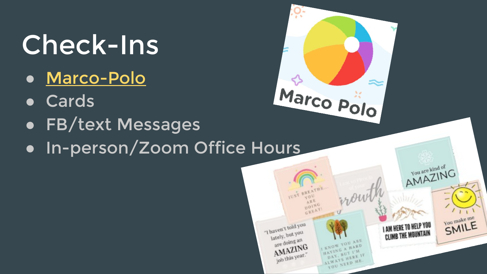## Check-Ins

- [Marco-Polo](https://youtu.be/eknMFmnJ464)
- Cards
- FB/text Messages
- In-person/Zoom Office Hours



HAVAYS HERE IF YOU NEED ME.

Job this year."

You make me SMILE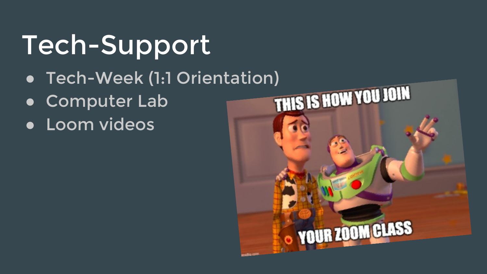## Tech-Support

- 
- **Computer Lab**
- Loom videos

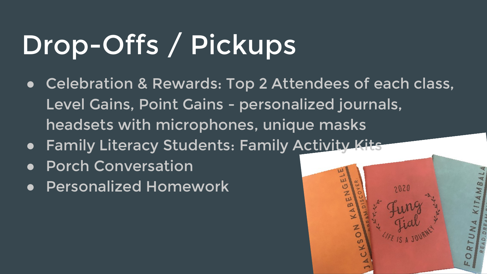# Drop-Offs / Pickups

● Celebration & Rewards: Top 2 Attendees of each class, Level Gains, Point Gains - personalized journals, headsets with microphones, unique masks

w

- Family Literacy Students: Family Activity Kits
- **Porch Conversation**
- **Personalized Homework**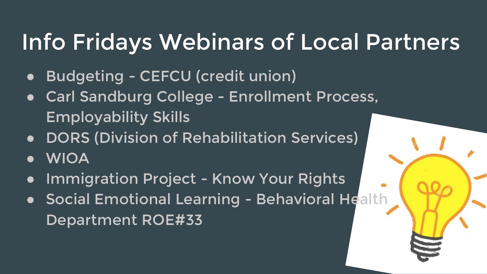## Info Fridays Webinars of Local Partners

- Budgeting CEFCU (credit union)
- Carl Sandburg College Enrollment Process, Employability Skills
- DORS (Division of Rehabilitation Services)
- **WIOA**
- **Immigration Project Know Your Rights**
- Social Emotional Learning Behavioral Health Department ROE#33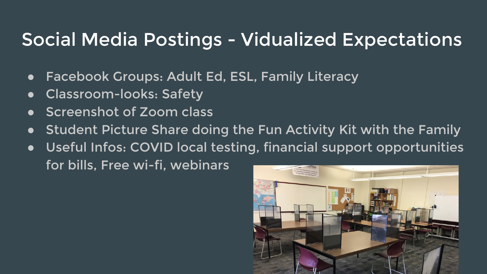### Social Media Postings - Vidualized Expectations

- Facebook Groups: Adult Ed, ESL, Family Literacy
- Classroom-looks: Safety
- Screenshot of Zoom class
- Student Picture Share doing the Fun Activity Kit with the Family
- Useful Infos: COVID local testing, financial support opportunities for bills, Free wi-fi, webinars